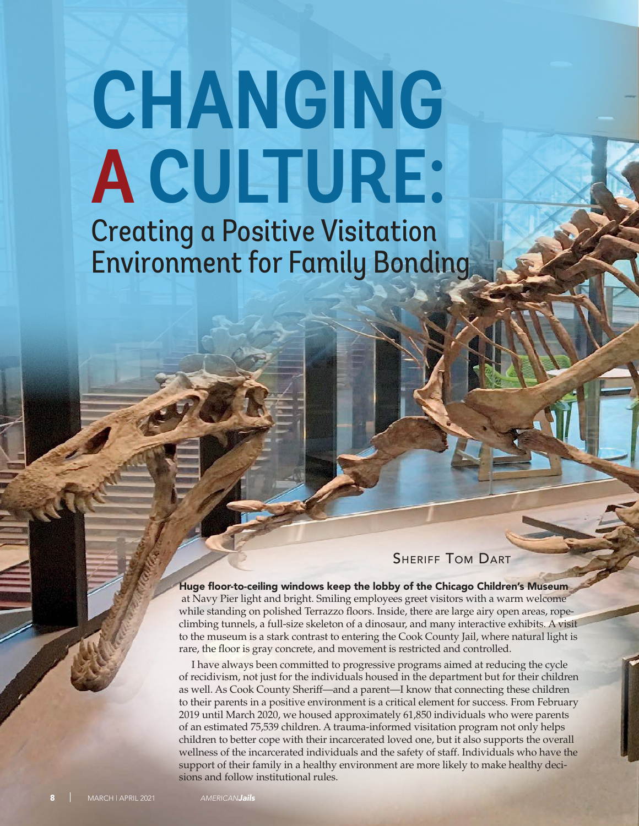# **CHANGING A CULTURE:** Creating a Positive Visitation Environment for Family Bonding

# **SHERIFF TOM DART**

Huge floor-to-ceiling windows keep the lobby of the Chicago Children's Museum at Navy Pier light and bright. Smiling employees greet visitors with a warm welcome while standing on polished Terrazzo floors. Inside, there are large airy open areas, ropeclimbing tunnels, a full-size skeleton of a dinosaur, and many interactive exhibits. A visit to the museum is a stark contrast to entering the Cook County Jail, where natural light is rare, the floor is gray concrete, and movement is restricted and controlled.

I have always been committed to progressive programs aimed at reducing the cycle of recidivism, not just for the individuals housed in the department but for their children as well. As Cook County Sheriff—and a parent—I know that connecting these children to their parents in a positive environment is a critical element for success. From February 2019 until March 2020, we housed approximately 61,850 individuals who were parents of an estimated 75,539 children. A trauma-informed visitation program not only helps children to better cope with their incarcerated loved one, but it also supports the overall wellness of the incarcerated individuals and the safety of staff. Individuals who have the support of their family in a healthy environment are more likely to make healthy decisions and follow institutional rules.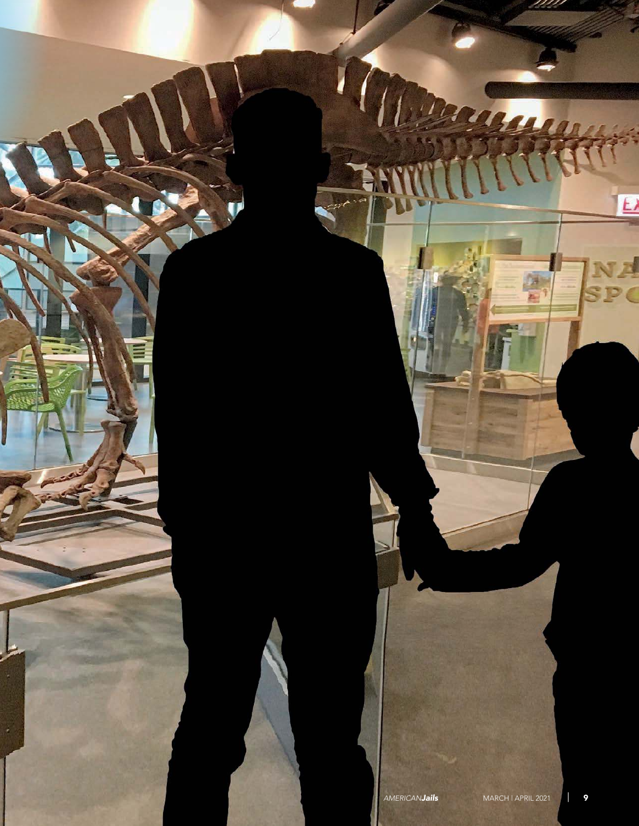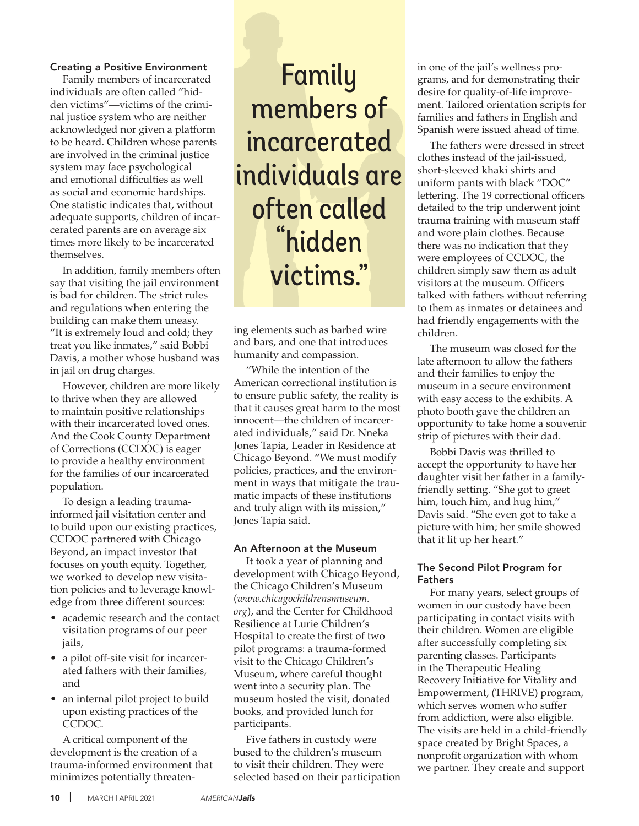## Creating a Positive Environment

Family members of incarcerated individuals are often called "hidden victims"—victims of the criminal justice system who are neither acknowledged nor given a platform to be heard. Children whose parents are involved in the criminal justice system may face psychological and emotional difficulties as well as social and economic hardships. One statistic indicates that, without adequate supports, children of incarcerated parents are on average six times more likely to be incarcerated themselves.

In addition, family members often say that visiting the jail environment is bad for children. The strict rules and regulations when entering the building can make them uneasy. "It is extremely loud and cold; they treat you like inmates," said Bobbi Davis, a mother whose husband was in jail on drug charges.

However, children are more likely to thrive when they are allowed to maintain positive relationships with their incarcerated loved ones. And the Cook County Department of Corrections (CCDOC) is eager to provide a healthy environment for the families of our incarcerated population.

To design a leading traumainformed jail visitation center and to build upon our existing practices, CCDOC partnered with Chicago Beyond, an impact investor that focuses on youth equity. Together, we worked to develop new visitation policies and to leverage knowledge from three different sources:

- academic research and the contact visitation programs of our peer jails,
- a pilot off-site visit for incarcerated fathers with their families, and
- an internal pilot project to build upon existing practices of the CCDOC.

A critical component of the development is the creation of a trauma-informed environment that minimizes potentially threaten-

Family members of incarcerated individuals are often called "hidden victims."

ing elements such as barbed wire and bars, and one that introduces humanity and compassion.

"While the intention of the American correctional institution is to ensure public safety, the reality is that it causes great harm to the most innocent—the children of incarcerated individuals," said Dr. Nneka Jones Tapia, Leader in Residence at Chicago Beyond. "We must modify policies, practices, and the environment in ways that mitigate the traumatic impacts of these institutions and truly align with its mission," Jones Tapia said.

#### An Afternoon at the Museum

It took a year of planning and development with Chicago Beyond, the Chicago Children's Museum (*www.chicagochildrensmuseum. org*), and the Center for Childhood Resilience at Lurie Children's Hospital to create the first of two pilot programs: a trauma-formed visit to the Chicago Children's Museum, where careful thought went into a security plan. The museum hosted the visit, donated books, and provided lunch for participants.

Five fathers in custody were bused to the children's museum to visit their children. They were selected based on their participation in one of the jail's wellness programs, and for demonstrating their desire for quality-of-life improvement. Tailored orientation scripts for families and fathers in English and Spanish were issued ahead of time.

The fathers were dressed in street clothes instead of the jail-issued, short-sleeved khaki shirts and uniform pants with black "DOC" lettering. The 19 correctional officers detailed to the trip underwent joint trauma training with museum staff and wore plain clothes. Because there was no indication that they were employees of CCDOC, the children simply saw them as adult visitors at the museum. Officers talked with fathers without referring to them as inmates or detainees and had friendly engagements with the children.

The museum was closed for the late afternoon to allow the fathers and their families to enjoy the museum in a secure environment with easy access to the exhibits. A photo booth gave the children an opportunity to take home a souvenir strip of pictures with their dad.

Bobbi Davis was thrilled to accept the opportunity to have her daughter visit her father in a familyfriendly setting. "She got to greet him, touch him, and hug him," Davis said. "She even got to take a picture with him; her smile showed that it lit up her heart."

# The Second Pilot Program for Fathers

For many years, select groups of women in our custody have been participating in contact visits with their children. Women are eligible after successfully completing six parenting classes. Participants in the Therapeutic Healing Recovery Initiative for Vitality and Empowerment, (THRIVE) program, which serves women who suffer from addiction, were also eligible. The visits are held in a child-friendly space created by Bright Spaces, a nonprofit organization with whom we partner. They create and support